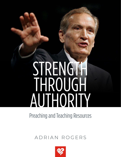# STRENGTH THROUGH AUTHORITY

Preaching and Teaching Resources

# ADRIAN ROGERS

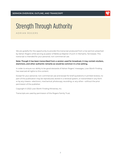

ADRIAN ROGERS

We are grateful for the opportunity to provide this transcript produced from a live sermon preached by Adrian Rogers while serving as pastor of Bellevue Baptist Church in Memphis, Tennessee. This transcript is intended for your personal, non-commercial use.

# **Note: Though it has been transcribed from a version used for broadcast, it may contain stutters, stammers, and other authentic remarks as would be common in a live setting.**

In order to ensure our ability to be good stewards of Adrian Rogers' messages, Love Worth Finding has reserved all rights to this content.

Except for your personal, non-commercial use and except for brief quotations in printed reviews, no part of this publication may be reproduced, stored in a retrieval system, or transmitted in any form or by any means—electronic, mechanical, photocopy, recording, or any other—without the prior permission of the publisher.

Copyright © 2022 Love Worth Finding Ministries, Inc.

Transcripts are used by permission of the Rogers Family Trust.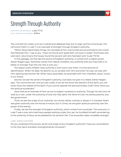

**SERMON REFERENCE:** Luke 7:1-10 **LWF SERMON NUMBER:** #1944

The Lord did not create us to live crushed and defeated lives, but to reign and live victoriously. The centurion's faith in Luke 7 is an example of strength through kingdom authority.

"When Jesus heard these things, He marveled at him, and turned around and said to the crowd that followed Him, "I say to you, I have not found such great faith, not even in Israel!" And those who were sent, returning to the house, found the servant well who had been sick" (Luke 7:9-10).

In this passage, we first see the source of kingdom authority: it comes from a higher power. Adrian Rogers says, "Authority comes from above; therefore, any authority that you may hold is no better or stronger than the one who is over you."

The reason God's children have authority is that God is over them. It is the doctrine of identification. When He died, He died for us, so we died with Him and when He rose, we rose with Him, bearing resurrection life. When Jesus ascended, we ascended with Him; therefore, Jesus' victory is our victory.

Second, we see the secret of kingdom authority: God does not give it to rebels. Adrian Rogers says, "You cannot be over until you are under; if you do not know the restraint of the Spirit, you will never know the release of the Spirit. If you cannot operate the spiritual brakes, God'll never show you the spiritual accelerator."

Jesus lives as an example of how we are to subject ourselves to authority. Though He was God, He lived as a man, under the authority of God, the Holy Spirit, the Word of God, His earthly parents, and the government.

Third, we see the scope of our authority: we cannot refuse, confuse or abuse it. In Genesis, Adam was given authority over the forces of nature, but in Christ, we are given spiritual authority over the power of the enemy.

Finally, we see the strength of kingdom authority, which comes from surrender. The centurion in Luke 7 was a man who had many people working under him; yet, he humbled himself, surrendering to the authority of Jesus as he pleaded for his servant's life. True surrender takes incredible strength.

## **LIFE APPLICATION**

Do you understand the source, secret and scope of your kingdom authority? Have you surrendered to the Holy Spirit and been strengthened by His power?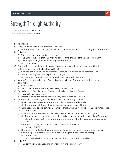

**SERMON REFERENCE:** Luke 7:1-10 **LWF SERMON NUMBER:** #1944

- 1) INTRODUCTION
	- a) Many Christians are living defeated lives today.
		- i) But that need not be you, if you will discover the wonderful truth of kingdom authority.
	- b) Luke 7:1-9
		- i) The Lord Jesus marveled at this man.
		- ii) The Lord Jesus said that this man had more faith than all of the sons of Abraham.
		- iii) This is significant, and we need to pay attention to it.
			- (1) Luke 7:9-10
	- c) Satan will do all that he can do to keep us from learning the truth about the kingdom authority we have in the Lord Jesus Christ.
		- i) God did not create us to be victims of Satan, to live crushed and defeated lives.
		- ii) To the contrary, our Lord expects us to reign.
			- (1) We are to have victory over Satan in this day and in this age.
	- d) When God created Adam and Eve and put them in the Garden, He told them to have dominion.
		- i) Genesis 1:28
		- ii) "Dominion" means that they are to reign and to rule.
	- e) But Adam and Eve disobeyed God and yielded everything to Satan.
		- i) They lost their dominion.
		- ii) Rather than having their dominion, they became slaves to Satan.
	- f) When Adam rebelled against Heaven, he lost his authority on Earth.
		- i) Adam became a slave to Satan, and a child of a slave is a slave, also.
			- (1) Therefore, all of those who are in Adam became slaves of Satan.
	- g) The Lord Jesus Christ, the last Adam, came to this Earth and won back for us the victory that the first Adam lost.
		- i) If we don't understand this, then no matter how true it is, it will do us no good.
			- (1) There are some who have not yet learned of our emancipation in the Lord Jesus and of our kingdom authority, and there are others who think it sounds too good to be true.
			- (2) The truth does not set us free if we don't know the truth. (a) John 8:31-32
		- ii) Knowing the truth about kingdom authority, which we lost in Adam but got back in Christ, helps us overcome Satan now in this life (not in the world to come).
			- (1) Romans 5:17
				- (a) We shall reign in life right now; not just in the sweet by and by.
	- h) Luke 7:8
		- i) This centurion was a very important man in the Roman army.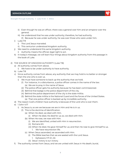

- ii) Even though he was an officer, there was a general over him and an emperor over the general.
- iii) He understood that he was under authority; therefore, he had authority.
	- (1) Because he was under authority, he was over those who were under him.
- i) Luke 7:9
	- i) The Lord Jesus marveled.
	- ii) This centurion understood kingdom authority.
- j) We need to understand this same kingdom authority.
	- i) Authority means the official, legal right to act.
- k) In today's message, we will learn four things about kingdom authority from this passage in the book of Luke.
- 2) THE SOURCE OF KINGDOM AUTHORITY (Luke 7:8)
	- a) All authority comes from above.
		- i) We have to be under authority to have authority.
	- b) Luke 7:8
	- c) Since authority comes from above, any authority that we may hold is no better or stronger than the one who is over us.
		- i) We must have someone to back up the authority that we hold.
			- (1) For instance, in a disturbance, a police officer comes in the name of the law. (a) We are to pray in the name of Jesus.
			- (2) The police officer gets his authority because he has been commissioned.
			- (3) Behind that badge is the police department of the city.
			- (4) Behind the police department of the city is the state militia.
			- (5) Behind the state militia is the National Guard and the forces of the United States.
				- (a) That one police officer is backed up by incredible authority.
	- d) The reason God's children have authority is because of the Lord who is over them.
	- e) 1 John 4:17
		- i) As Jesus is, so are we because we are in Him and He is in us.
			- (1) This is the doctrine of identification.
				- (a) When He died, we died with Him.
					- (i) When He died, He died for us; so, we died with Him.
				- (b) When He rose, we rose with Him.
					- (i) We are identified, united with Him in resurrection.
					- (ii) Romans 6:5
					- (iii) When He died, He gave Himself for us; and then He rose to give Himself to us.
						- 1. We have resurrection life.
				- (c) When Jesus ascended, we ascended with Him.
					- (i) The Bible teaches that we are seated with the Lord Jesus.
						- 1. Ephesians 1:17-21, 2:6
					- (ii) Jesus' victory is our victory.
	- f) The authority comes from Jesus, and we are united with Jesus in His death, burial,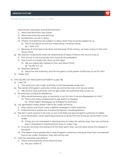

resurrection, ascension and enthronement.

- i) Jesus has dominion over Satan.
- ii) Jesus has authority over demons.
- iii) As believers, we are in Jesus.
- iv) If Satan and demons are subject to Jesus, then they must be subject to us.
	- (1) This is not about us and our importance; it's about Jesus.
		- (a) 1 John 4:17
- v) Because of what Jesus has done and because of His victory, we have victory in the Lord Jesus Christ.
- g) We need to understand what the relationship of Jesus Christ to the church truly is.
	- The church is not a business with Jesus as the president.
	- ii) The church is a body with Jesus as the head.
		- (1) We are organically related to the Lord Jesus Christ.
		- (a) His life is in us.
	- iii) Matthew 28:18-20
		- (1) Jesus has the authority, and He has given us the power of attorney to act for Him.
- h) 1 Peter 3:22
- 3) THE SECRET OF KINGDOM AUTHORITY (Luke 7:8)
	- a) Luke 7:8
		- i) The centurion was under authority, so he had people under him.
	- b) The secret of kingdom authority is that we cannot be over until we are under.
		- i) We cannot have authority until we get under the authority that is over us.
	- c) All authority is linked to obedience.
		- i) Why would someone give us authority to act for him if we are disobedient to him?
			- (1) This is why Satan endeavored to get Adam to disobey.
				- (a) When Adam disobeyed, he forfeited his authority.
	- d) Our generation today doesn't like to be under authority.
		- i) Pop culture and music have a defiant message to resist authority.
		- ii) Entertainment makes fun of authority figures, including fathers.
	- e) We don't want anyone to be over us, but God does not give kingdom authority to rebels.
		- i) As an illustration, when teaching someone to drive, the first thing you show them is the brake.
			- (1) If they are not interested in learning how to make the vehicle stop, then you certainly aren't interested in teaching them how to make it go.
		- ii) If we do not know the restraint of the Holy Spirit, then we will never know the release of the Spirit.
		- iii) The reason many people don't have kingdom authority is because they have not learned how to be under; therefore, they will not be over.
	- f) God has authority everywhere.
		- i) There is the authority of the Word of God.
			- (1) Are you under it?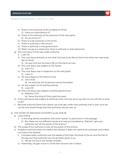

- ii) There is the authority of the Lordship of Christ.
	- (1) Have you submitted to it?
- iii) There is the authority of the direction of the Holy Spirit.
	- (1) Do you know it?
- iv) There is to be authority in the home.
- v) There is authority in the church.
- vi) There is authority in the government.
- vii) When we go to a restaurant, there is authority in that restaurant.
- g) The Lord Jesus Christ was under authority.
	- i) Luke 7:8
	- ii) The Lord Jesus showed us not what God was to be like on Earth but what man was to be like on Earth.
		- (1) He was God, but He lived a life on this Earth as man.
	- iii) The Lord Jesus was subject to His Father. (1) John 17:4
	- iv) The Lord Jesus was in subjection to the Holy Spirit.
		- (1) Luke 4:1
	- v) He was subject to the Word of God.
		- (1) John 10:35
			- (a) He said that the Scriptures cannot be broken.
	- vi) He was subject to His earthly parents.
		- (1) Luke 2:51
	- vii) The Lord Jesus was subject to earthly government.
		- (1) Matthew 17:27
			- (a) Jesus, the King of Glory, paid His taxes.
- h) If the Lord Jesus was subject to authority, then who are we to say that no one will tell us what to do?
- i) Because authority flows from above, we must get under that authority that is over us so we can be over those things that that authority has set over us.
- 4) THE SCOPE OF KINGDOM AUTHORITY (Luke 10:18-19)
	- a) Luke 10:18-19
		- i) In the King James translation, the word "power" is used twice in this passage.
			- (1) But these are two different words and may be translated as, "Behold, I give you authority over all the power of the enemy."
	- b) The scope of our authority is over all the power of the enemy.
	- c) Kingdom authority does not need to be refused, it does not need to be confused, and it does not need to be abused.
		- i) God gave Adam authority over the beasts of the field, the fowls of the air and the fish of the sea, but that authority has not yet been given to us.
			- (1) We do not live in the Garden of Eden.
		- ii) Potentially, we gain more in Christ than we ever lost in Adam.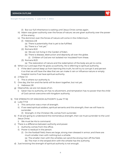

- (1) But our full inheritance is waiting until Jesus Christ comes again.
- iii) Adam was given authority over the forces of nature; we are given authority over the power of the enemy.
- iv) The dominion over the forces of nature will come in the millennium.
	- (1) Hebrews 2:8
		- (a) There is potentiality that is yet to be fulfilled.
		- (b) There is a "not yet."
	- (2) Romans 8:22
		- (a) We are not living in the Garden of Eden.
		- (b) There is disease, destruction and depravity all over the globe.
			- (i) Children of God are not isolated nor insulated from these.
	- (3) Romans 8:23
		- (a) The restoration of nature and the redemption of the body are yet to come.
- d) When our Lord says that He gives us authority, He is referring to spiritual authority.
	- i) If the devil cannot keep us from learning this truth, he will try to corrupt it and pervert it so that we will have the idea that we can make it rain or influence nature or empty hospital rooms if we have spiritual authority.
- e) 2 Peter 1:3
	- i) This is where our authority is.
- f) One day, the lion and the lamb will lie down together, but not yet. i) Hebrews 2:8
- g) Meanwhile, we are not slaves of sin.
	- i) Satan has no authority, sin has no allurement, and temptation has no power that the child of God cannot overcome with kingdom authority.
- 5) THE STRENGTH OF KINGDOM AUTHORITY (Luke 7:7-8)
	- a) Luke 7:7-8
		- i) This centurion was a man of strength.
		- ii) If we need spiritual soldiers, spiritual servants and this strength, then we will have to surrender.
			- (1) Strength, in the Christian life, comes from surrender.
	- b) If we are going to understand this tremendous strength, then we must surrender to the Lord Jesus Christ.
		- i) We must be His to command.
	- c) There is a difference between authority and power.
		- i) Authority comes from the office.
		- ii) Power is residual in the person.
			- (1) On the football field, there are large, strong men dressed in armor; and there are much smaller men with nothing but a whistle.
				- (a) The smaller men with the whistles can send the strong men off the field.
				- (b) The man in the striped shirt with the whistle has the authority.
	- d) Just knowing the strength of spiritual authority is not enough.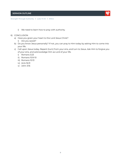

- i) We need to learn how to pray with authority.
- 6) CONCLUSION
	- a) Have you given your heart to the Lord Jesus Christ?
		- i) Are you saved?
	- b) Do you know Jesus personally? If not, you can pray to Him today by asking Him to come into your life.
	- c) Call upon Jesus today. Repent (turn) from your sins, and turn to Jesus. Ask Him to forgive you of your sins, and acknowledge Him as Lord of your life.
		- i) Romans 3:23
		- ii) Romans 10:9-10
		- iii) Romans 10:13
		- iv) Acts 16:31
		- v) John 3:16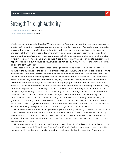

**SERMON REFERENCE:** Luke 7:1-10 **LWF SERMON NUMBER:** #1944

Would you be finding Luke Chapter 7? Luke chapter 7. And may I tell you that you could discover no greater truth than the marvelous, wonderful truth of kingdom authority. You could enjoy no greater blessing than to enter into the truth of kingdom authority. But having said that, we have many, and some of them in churches today, who are living defeated lives. Somebody has described our generation this way: "We are a needy generation, sick of our conditions, unable to create better, too ignorant to explain life, too shallow to endure it, too bitter to enjoy it, and too weak to overcome it." I hope that's not you, but it could be you. But it need not be you if you will discover a wonderful truth called kingdom authority.

Now let's look in Luke chapter 7 verse 1 through verse 9, "And when He had ended all these sayings in the audience of the people, He entered into Capernaum. And a certain centurion's servant, who was dear unto him, was sick, and ready to die. And when he heard of Jesus, he sent unto Him the elders of the Jews, beseeching Him that He would come and heal his servant. And when they came to Jesus, they besought Him instantly, saying, 'That he was worthy for whom He should do this: for he loveth our nation, and he hath built us a synagogue.' Then Jesus went with them. And when He was now not far from the house, the centurion sent friends to Him saying unto Him, 'Lord, trouble not thyself: for I'm not worthy that thou shouldest enter under my roof: wherefore neither thought I myself worthy to come unto thee: but say in a word, and my servant shall be healed. For I also am a man set under authority.'" Now I want you to understand this verse is the key verse, "'For I also am a man set under authority, having under me soldiers, and I say unto one, 'Go', and he goeth; and to another, 'Come', and he cometh; and to my servant, 'Do this,' and he doeth it.' When Jesus heard these things, He marveled at him, and turned him about, and said unto the people that followed Him, 'I say unto you, that I have not found so great faith, no, not in Israel.'"

Now, ladies and gentlemen, look up here just parenthetically before I go one step further. If Jesus Christ marveled at this man, I mean absolutely marveled at him, if Jesus Christ was astounded by what this man said, then you ought to take note of it. And if Jesus Christ said of all of the sons of Abraham that He knew, that this man had more faith than any He'd met, don't you think you ought to pay attention? Hmm?

Now, folks, we're dealing with something that is significant. Don't miss that. Don't miss what the Lord Jesus said. He said, I'll read Luke 7 verses 9 and 10 again, "When Jesus heard these things, He marveled at him, and turned him about, and said to the people that followed Him, 'I say unto you,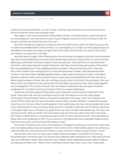**Strength Through Authority** | **Luke 7:1-10** | **#1944**

I have not found so great faith, no, not in Israel.' And they that were sent, returning to the house, found the servant whole that had been sick."

Now, again I want to say that Satan, that sinister minister of misinformation, will do all that he can do to keep you from learning the truth of your kingdom authority in the Lord Jesus Christ. He wants to pull the veil of darkness over this truth.

Now the Lord did not create you, bring you into this world, to be a victim of Satan, for you to live a crushed and defeated life. To the contrary, our Lord expects you to reign, as we're going to see, not someday in the sweet by and by, but right now in the nasty now and now. You are to have victory over Satan in this day and in this age.

Now let's back up again. We're talking about the principles of kingdom authority. And remember that when God created Adam and Eve, God created Adam and Eve and put them on Earth, and the Bible says in the book of Genesis chapter 1 and verse 28, that, "God told them to have dominion." Dominion, that means they're to reign! They're to rule! They were the king and queen of this Earth! But they disobeyed God. They yielded everything to Satan. They lost their dominion. They lost their crown. Rather than having dominion, they became slaves of Satan. They became servants to Satan. And when Adam rebelled against Heaven, Adam lost his authority on Earth. And Adam became a slave to Satan; and a child of a slave is a slave also, and therefore all of those who are in Adam became slaves of Satan. But the Lord Jesus Christ came to this Earth, the last Adam, the Lord Jesus Christ, won back for us the victory that the first Adam lost, and we were able to sing together as a congregation, "Oh, victory in Jesus!" Now we need to understand this, because if we don't understand it, no matter how true it may be, it'll do us no good whatsoever.

There was an Emancipation Proclamation when Abraham Lincoln set the slaves free in the South. They were free, set free! And thank God for that. But did you know that many slaves continued on the plantation? Many continued to serve their old master. Why? Two reasons: one, some of them didn't get the news. Secondly, some of them couldn't believe it. It seemed too good to be true. And I tell you, there're some people in this world today who have not yet gotten the news of our emancipation in the Lord Jesus Christ and of our kingdom authority. And to others, and some in this place right now, it will seem too good to be true. Now we often hear people say, "Oh, the truth will set you free." Well, be careful. The truth doesn't set you free if you don't know the truth, if you don't know it. What did our Lord Jesus say about that? In John 8 verse 31 and 32, "Then said Jesus to those Jews which believed on Him, 'If you continue in My Word, then are ye disciples indeed and ye shall know the truth, and the truth shall make you free.'"

Now what I'm trying to do in this, in this series of messages is to help you to know the truth. Now we're not talking about overcoming Satan in the world to come. We're talking about now, where you work this afternoon and tomorrow morning. You see, we lost it in Adam; we got it back in Christ.

Here's a key verse. Put this one in your margin, Romans chapter 5 and verse 17. It sums up everything that I'm trying to say, "For by one man's offense death reigned by one." Who was that one man who offended? Adam! Who took over then? Death! Death reigned because of Adam's offense and because of Adam's sin. "Much more," and thank God for that much more, now, "they which

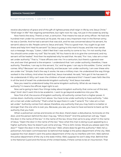#### **Strength Through Authority** | **Luke 7:1-10** | **#1944**

receive abundance of grace and of the gift of righteousness shall reign in life by one Jesus Christ." "Shall reign in life!" Not reigning somewhere, but right now! As I say, not just in the sweet by and by.

Now here's the story. There's a man, a centurion. That means he was an army officer. He had one hundred men under his command, at his post. He was a very important man in the Roman army; he was a Gentile. And he had a servant that was sick, and he was concerned about his servant, his servant's about to die. People came to Jesus and said, "This is a good man. You ought to go over there and help him! Heal his servant!" So Jesus is going to this man's house, and the man sends out a message. He says, "Listen, I didn't feel that I was worthy to come to You. I'm not worthy that You should come under my roof." But he said, "All You have to do is to give the command, and my servant will be healed." And then he explained why he said that. He said, "For I too, I also am a man set under authority." That is, "I have officers over me. I'm a centurion, but there's a general over me, and over that general is the emperor. I understand that I am under authority; therefore, I have authority. Therefore, I can say to this servant, 'Go,' and he goes. I can say to this soldier, 'Come,' and he comes. Why? Because I am under authority, and because I am under authority, I am over these who are under me." Simple, that's the way it works. He was a military man. He understood the way things worked in the military. And when he said that, Jesus marveled. He said, "He's got it! He has seen it! He understands it! Why can't even the children of Israel understand this? I haven't seen faith like this in all the land of Israel! He understands kingdom authority." And Jesus marveled.

Now you need to understand today this same kingdom authority. What do we mean by authority? It means the official, legal right to act.

Now we're going to learn four things today about kingdom authority that come out of this text, okay? And I don't want this to be academic. I want to go beyond academics into your life.

Now first of all, the source of kingdom authority. All authority comes from a higher power. It comes down. Authority comes from above. You have to be under authority to have authority. "I also am a man set under authority." That's what he says there in Luke 7 verse 8, "For I also am a man set under." Authority comes from above; therefore, any authority that you may hold is no better or stronger than the one who is over you. Because, you see, you have to have someone to back up the authority that you hold.

When a policeman comes and knocks on the door, there's been a disturbance, he knocks on the door, and the person behind the door may say, "Who's there?" And the policeman will say, "Open the door in the name of the law." In the name of the law. Know that we're to pray what? In the name of Jesus. "Open the door in the name of the law." Now what this man is doing is just appealing to a higher authority. Now he doesn't just come and say, "This is John Jones. Would you please open the door?" "Open the door in the name of the law." Well, where does he get this authority? Well, he's a policeman; he's been commissioned. So behind that badge is the police department of the city. Well, suppose the man doesn't want the police department of the city to interfere with him. Well, behind the police department of the city is the state militia. Well, suppose he won't obey that. Behind that is the National Guard and the forces of the United States, if there comes to be an insurrection. That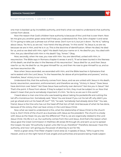

one man is backed up by incredible authority, and that's what we need to understand; that authority comes from above.

Now the reason that God's children have authority is because of the Lord that is over them. Now let me give you another great verse that'll help you understand this. First John chapter 4 and verse 17; I'm going to take just a phrase out of that verse. Don't turn to it, but jot it down. "As He is," talking about Jesus, "As He is, so are we," now here's the key phrase, "in this world." As Jesus is, so are we, because we are in Him, and He is in us. This is the doctrine of identification. When He died, He died for us, and so we died with Him, right? His death had your name on it. He died for you. You died with Him. Are you identified with Him in His death? Say, "Amen." Okay.

Now, secondly, when He rose, you rose with Him. You are identified, united with Him, in resurrection. The Bible says in Romans chapter 6 verses 4 and 5, "If we've been buried in the likeness of His death, we shall be also in the likeness of His resurrection." Jesus died for us, and then Jesus rose for us. He, He died for us. He gave Himself for us, and then He rose to give Himself to us, and so we have resurrection life.

Now when Jesus ascended, we ascended with Him, and the Bible teaches in Ephesians that we're seated with the Lord Jesus, "In the heavenlies, far above all principalities and powers," and so, therefore, Jesus' victory is our victory.

Understand this, that the authority comes from Jesus, and we are united with Jesus in His death, burial, resurrection, ascension, enthronement, and therefore we sing, "Victory in Jesus." Does Jesus have dominion over Satan? Yes! Does Jesus have authority over demons? Yes! Are you in Jesus? Yes! That's the point. It flows from above. If they're subject to Him, they must be subject to us. Now that doesn't mean that you're somebody important; it's Him. "As He is, so are we in this world."

I heard about a man one time who was boasting about taking his pocketknife and cutting the tail off a monstrous lion. Somebody said, "Wow! You are brave! If you cut his tail off, why didn't you just go ahead and cut his head off, too?" "Oh," he said, "somebody had already done that." You see, friend, Jesus is the One who has cut the head off that lion of Hell. And because of what He has done, because of His victory, then we have victory in the Lord Jesus Christ.

Now what we need to understand is this, what the relationship of Jesus Christ to the church truly is. Don't think of the church as a business with Jesus as the president. The church is a body with Jesus as the Head. Do you see the difference? That is, we are organically related to the Lord Jesus Christ. His life is in us. Our authority comes from the Lord Jesus. And that's the reason when Jesus gave the Great Commission in Matthew 28 verses 18 through 20, and sent us out to spread the Gospel, He said, "All authority is given unto Me! Go ye, therefore!" Therefore, because I have this authority, and now I am giving you the power of attorney to act for Me.

Here's a great verse, First Peter chapter 3 and verse 22. It speaks of Jesus, "Who is gone into Heaven, and is on the right hand of God; angels and authorities and powers being made subject

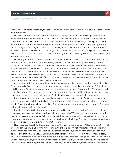#### **Strength Through Authority** | **Luke 7:1-10** | **#1944**

unto Him." First point, first truth, the source of kingdom authority. It flows from above. It comes from a higher power.

Now that brings us to the secret of kingdom authority. That's the second thing, the secret of kingdom authority. Look again in Luke 7 verse 8, "For I also am a man set under authority, having under me soldiers." I'm under, so I have people under me. Here's the secret; it's very plain, it's very wonderful; you cannot be over until you are under. You cannot have authority until you get under the authority that is over you. Now that's so simple, but it's so wonderful. You see, all authority is linked to obedience. Why would a person give you authority to act for him when you're disobedient to him? That's the reason that Satan endeavored to get Adam to disobey. When Adam disobeyed, he forfeited his authority.

Now our generation doesn't like the word authority. We don't like to be under anybody. I mean, we stick out our chests, we talk about being free-born Americans, and if you're a baby boomer! You know, let me tell you, if you're part of the boomer generation, you are the first television generation. For you the television was a third parent. In your lifetime you've gone through the Hula Hoop, the Barbie Doll, pop psychology, Dr. Spock. Many of you have Spock-marked kids. Donahue, rock and roll, you watched Elvis Presley wear his clothes out from the inside, the Beatles, and all of that music that you boomers listened to, all of it had a defiant message! It was anti-authority! The authority was called, "the man;" you were told to, "Resist the man."

And authority figures were made fun of. Fathers were Archie Bunker; preachers were Flip Wilson. To be laughed at! And the ideals that were in your generation was this, "I gotta be me!" Frankie said, "I did it my way." McDonald's or whomever, says, "Have it your way." "Do your thing." "If it feels good, do it!" And many of us dare not realize the vestiges of rebellion that still lurk down in our hearts. We don't want to submit to authority, and you're looking at a guy, by nature, is the same way.

I was looking for a parking place a while back and I saw a sign; it said, "Don't even think about parking here." I was so full of rebellion, I thought about it! Folks, I mean we all have that thing in us. We don't want anybody to be over us. But God does not give kingdom authority to rebels. God does not give kingdom authority to rebels!

I've often used this illustration. Have you ever tried to teach a child to drive? How many of you have ever tried teach somebody to drive? Child, anybody else? What's the first thing you showed them? Not even the ignition switch, certainly not the accelerator, not how to put it in drive. The very first thing, if you've got an iota, a modicum of intelligence, the brake! "Honey, here's how you make it stop. Here's how you make it stop! There's the brake."

Now, suppose that child that you're teaching, that young teenager says, "Hey, Dad, don't, I'm not interested in the brake. Show me how to make this thing go! I'm not interested in the brake. That is of no importance to me." You just find yourself taking the keys and putting them back in your pocket. Isn't that right? Because you know if that person is not interested in how to make it stop, you're not interested in telling him how to make it go. Isn't that right? I'm going to tell you this about God the Holy Spirit. If you do not know the restraint of the Spirit, you will never know the release of the Spirit. If you cannot operate the spiritual brakes, God'll never show you the spiritual accelerator.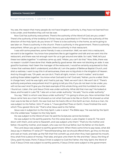You see, the reason that many people do not have kingdom authority is, they have not learned how to be under, and therefore they will not be over.

Now God has authority everywhere. There's the authority of the Word of God; are you under? There's the authority of the lordship of Christ; have you submitted to it? There's the authority of the direction of the Holy Spirit; do you know it? There is to be authority in the home, as we're going to see later on. There is authority in the church. There is authority in the government. There is authority everywhere. When you go to a restaurant, there is authority in that restaurant.

I was with some preachers, some friends; it was a convention. Well, we went into a restaurant; we want to be together. You know how preachers like to get together and talk and we went into the restaurant, and there was not enough room for us to get around one table. So I said, "Well, let's put these two tables together." A waitress came up, said, "Mister, you can't do that." Now, folks, there was no reason I couldn't have done that. Made perfectly good sense. We were not blocking an aisle. It was good for business. Had I been the manager of the restaurant, I would've certainly acquiesced to that. I knew that waitress didn't understand, and after all, I am the pastor of Bellevue Baptist Church, and she's a waitress. I want to say this in all seriousness, there are no big shots in the kingdom of Heaven. And my thought was, "Oh yeah, we can do it. That's all right, ma'am. It won't matter," and to start putting those tables together. You know what God said to me? God said, "Adrian, you're a rebel. She's in charge here," and He was right, and I had to just say, "Well, we won't do it. We won't do it." There's authority everywhere, everywhere! And I'm going to tell you this, if you do not learn to be under, you will not be over! And I'll give you the best example of this whole thing, and this humbled me when I found out. Listen, the Lord Jesus Christ was under authority. What did that man say? He looked at Jesus, and he said in Luke 7:8, "I also am a man under authority." He said, "You're under authority."

You say, "Well, to whom was Jesus under authority?" I'm going to show you. Now remember that Jesus came here as a man! He showed us not what God was to be like on Earth; He showed us what man was to be like on Earth. He was God, but He lived a life on this Earth as man. And as a man, He was subject to His Father. John 17 verse 4, "I have glorified Thee on Earth; I have finished the work which Thou gavest Me to do." That's what Jesus said to His Father.

Jesus was in subjection to the Holy Spirit. Luke 4 verse 1. The Bible says, "He was led by the Spirit into the wilderness." Subject to the Holy Spirit.

He was subject to the Word of God. He said the Scriptures cannot be broken.

He was subject to His earthly parents. Put this verse down, Luke chapter 2 verse 51, "He went down with them, and came to Nazareth, and was subject unto them." That's to His mother and father, His earthly mother, and Joseph, who was not His true father, but His father on this Earth.

The Lord Jesus was subject to earthly government. When there came time to pay taxes, what did Jesus say in Matthew 17 verse 27? "Notwithstanding, lest we should offend them, go thou to the sea and cast an hook, and take up the fish that first cometh up; and when thou hast opened his mouth, thou shalt find a piece of money. That take, and give unto them for Me and thee." Jesus, the King of Glory, paid His taxes. Point; if Jesus Christ is subject to God the Father, the Holy Spirit, the Word of God, if Jesus Christ was subject to earthly parents, if Jesus Christ were subject to the government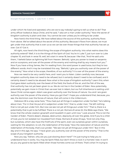#### **Strength Through Authority** | **Luke 7:1-10** | **#1944**

under which He lived and operated, who are we to say nobody's going to tell us what to do? That army officer looked at Jesus Christ, and he said, "I also am a man under authority." Now the secret of kingdom authority is plain and clear. You cannot be over unless you're willing to be under.

Now here's the third thing. We have talked about the source of this authority; authority flows from above. We've talked about the secret of this authority. Because it flows from above, we must get under that authority that is over us so we can be over those things that that authority has set us over. Got it? Got it.

All right, now here's the third thing; the scope of kingdom authority. Into what realms does this authority extend? Well, it is to the things of the Spirit of God. You're in Luke 7, just turn over to Luke chapter 10, and look in verse 19, well, let's start in verse 18, because I like that, "And He said unto them, 'I beheld Satan as lightning fall from Heaven. Behold, I give you power to tread on serpents and on scorpions, and over all the power of the enemy and nothing shall by any means hurt you.'" Now if you have a King James, like I'm reading from, the word power is used twice, but they're two different words. And it may be translated this way, "Behold, I give you authority over all the power of the enemy." Now what is the scope, therefore, of our authority? It is over all the power of the enemy.

Now we need to be very careful here, and I want you to listen. Listen carefully now, because kingdom authority does not need to be refused, but it certainly doesn't need to be confused, and it certainly doesn't need to be abused. Now what is the scope of kingdom authority? Learn this; when God gave Adam authority over the beast of the field, the fowls of the air, and the fish of the sea, that authority has not yet been given to us. We do not live in the Garden of Eden. Now potentially, potentially we gain more in Christ than we ever lost in Adam, but our full inheritance is waiting until Jesus Christ comes again. Adam was given authority over the forces of nature. You and I are given authority over the power of the enemy. Have you got that? I hope you understand that, because, you see, the dominion over the forces of nature, that will come in the millennium.

Hebrews 2:8 is a key verse here, "Thou hast put all things in subjection under his feet," he's talking about man, "For in that He put all in subjection under him," that is, under man, "He left nothing that is not yet put under him. But now we see not yet all things put under him." That is, there is a potentiality that is yet to be fulfilled. There is a not yet. Romans 8 verse 22, the Bible says there, "We know that the whole creation groaneth and travaileth in pain until now." Look around. This is not the Garden of Eden. There's desert, disease, destruction, depravity all over the globe. And if you're a child of God, you're not isolated nor insulated from these. Romans 8 verse 23 says, "And not only they, but ourselves, which also have the firstfruits of the spirit, even we ourselves groan within ourselves, waiting for the adoption, to wit, the redemption of the body." Now the restoration of nature and the redemption of the body, that's out yonder. "We see not yet all things put under Him." But in this day and in this age, He says, "I have given you authority over all the power of the enemy." That is the scope of your kingdom authority.

Now you say, "Adrian, why are you just slowing down here?" I'm just trying to help you to understand how it works. You may be Spirit-filled, but don't throw a rock in a hornets' nest. It won't do you any good to be Spirit-filled when those hornets come out of there. That's what I'm trying to

16

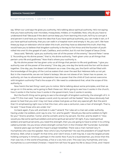#### **Strength Through Authority** | **Luke 7:1-10** | **#1944**

say. When our Lord says He gives you authority, He's talking about spiritual authority. He's not saying that you have authority over microbes, mosquitoes, mildew, or mudslides. Now, why do you have to understand that? Because if the devil cannot keep you from learning this truth, he'll try to corrupt it and pervert it and have you have the idea that if you have spiritual authority, you can make it rain, or if you have spiritual authority, that you can walk in a hospital room and empty it. No, you can't. We have these joy boys on television who've taken this truth, and they have so distorted this truth, that they would have you to believe that kingdom authority is the key to Fort Knox and the fountain of youth rolled into one! It's the gospel of cash, Cadillacs, and comfort, but it's not the Gospel of Jesus Christ.

Jesus said, "Behold, I give you authority over all of the power of the enemy." Second Peter 1 verse 3, "According as His divine power," that is, His divine authority, "hath given unto us all things that pertain unto life and godliness." Now that's where your authority is.

By His divine power He has given unto us all things that pertain to life and godliness. "I give you authority over all the power of the enemy." One day, yes, one day the lamb and the lion will lie down together. One day, yes, the desert will blossom as a rose. One day, yes, the Earth will be filled with the knowledge of the glory of the Lord as waters that cover the sea! But Hebrews tells us not yet. But in the meanwhile, we are not Satan's lackeys. We are not slaves of sin. Satan has no power, no authority, sin has no allurement, temptation has no power that the child of God cannot overcome with kingdom authority! That's the scope of it. We need to understand that, what the scope of this authority is.

Now here's the last thing I want you to notice. We're talking about some principles, and then as we go on in this series, we're going to flesh these out. We're going to see how it works in the church, how it works in the home, how it works in the government, how it works in society.

But the fourth thing we're going to see is the strength of kingdom authority, the strength of it. In Luke 7:7, this man said, "Just speak a word, and my servant will be healed." Now Jesus obviously had power to heal that you and I may not have unless God gives us that very special gift. But the point that I'm emphasizing right now is that this man, who was a centurion, was a man of strength. That is, he said, "I have those who are under me."

Go back again, if you will, and look in Luke 7 verse 8, "For I also am a man set under authority, having under me soldiers, and I say to one, 'Go', and he goeth." Would you like some soldiers to fight for you? "And to another, 'Come', and he cometh; and to my servant, 'Do this', and he doeth it." How would you like some spiritual soldiers and some spiritual servants? All right, if you need spiritual soldiers and spiritual servants, you need this strength, then you are going to have to enter in to a thing called surrender. Do you know where strength comes from in the Christian life? Surrender. Surrender.

Several years ago we had the mayor's prayer breakfast. There was a man named Cary H. Humphries who was the speaker. Now who's Cary Humphries? He was the president of Cargill North America. Well, what is Cargill? At that time, and I don't know, it still may be, it was the largest private holding company in America, perhaps in the world. Now if you're a businessman, you know that this man was not, in the world of business, a five or a six; he's a ten. This was Cary Humphries, and Cary Humphries is a committed Christian. I heard him tell how he gave his life to Jesus Christ, and I heard

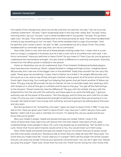#### **Strength Through Authority** | **Luke 7:1-10** | **#1944**

him testify of the change that came into his life, and then he said this. He said, "I do not try to set a fashion statement." He said, "I don't emphasize style in the way that I dress. But," he said, "every morning when I go out," he said, "I put a white handkerchief in my pocket." He said, "It's up there right now." He said, "That white handkerchief is not there primarily for style. That white handkerchief is there to say something to me." He said, "That white handkerchief is a sign of surrender." And he said this, and I wrote it down. He said, "In 1961, I surrendered my all to Jesus Christ. This white handkerchief is a reminder each day that I am His to command."

Now, folks, that's a man who has all of these people working under him. I mean, that is a man that is a mogul, a magnate in business, but he is also a man who is a humble man who said, "I am His to command." Have you said that to Jesus Christ? Do you mean it? Then if you do, you're going to understand this tremendous strength. You see, there's a difference in authority and power. Authority comes from the office; power is residual in the person.

Here's an illustration we can all understand, then I'll be finished. Professional football players, they have become monstrous. When I played football in college and high school, I weighed about 185 pounds, and I was one of the bigger men in the backfield. Today they wouldn't let me carry the water. These guys are something. I mean, here's a fellow; he is 6 feet 7, he weighs 285 pounds, and he's quick as a cat, and on top of that, he's got a helmet, a face guard, all of his armor all around him. Good night, they're big. You could get hurt playing that game! And yet there's another lil' fellow out there. This guy may be 155 pounds. He has no helmet, he has no shoulder pads, he's wearing a shirt with stripes on it, and all he's got is a whistle; and he says to that guy, "You get off the field and go to the showers." Power! Authority. See the difference? The guy with the whistle, the guy with the striped shirts, he's the one with the authority, and Jesus says to us, we're the little guy, "I give you authority over all the power of the enemy." He's the big guy, and it's time you and I told him to take a hike. It's time you and I understood the strength of spiritual authority! Now just knowing it is not enough. We need to learn how to pray with authority, and we're going to be talking about that soon and very soon.

But let's go back to Mr. Humphries, who said, "I gave my heart to Jesus Christ in 1961." It was very real to him. Have you given your heart to Jesus Christ? I say, have you? I didn't ask you if you were Baptist. I didn't ask if you were a member of a church. I'm asking this, are you saved and do you know that you're saved?

Bow your heads in prayer. Heads are bowed and eyes are closed. Father, I pray in the name of Jesus that many right now will receive Him into their hearts. Holy Spirit of God, open understandings. Draw people to Jesus. Oh, Lord, may people say an everlasting, "Yes" by faith to You. Lord, I know that You've said if anyone would come to You, You would never turn them away.

Now, while heads are bowed and eyes are closed, if you're not certain that you're saved, would you like to be saved, would you? Would you like to know that you really do have life? Jesus said, "I've come that you might have life." Could I lead you in a prayer? We'll call this prayer the sinner's prayer. And you can pray and accept Christ as your personal Lord and Savior. You can do it right now. Would you pray this prayer? "Dear God, I know that You love me. Thank You for loving me. And I know that

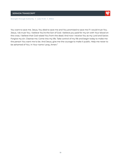**Strength Through Authority** | **Luke 7:1-10** | **#1944**

You want to save me. Jesus, You died to save me and You promised to save me if I would trust You. Jesus, I do trust You. I believe You're the Son of God. I believe you paid for my sin with Your blood on the cross. I believe that God raised You from the dead. And now I receive You as my Lord and Savior. Forgive my sin. Cleanse me. Come into my life. Take control of my life and begin today to make me the person You want me to be. And Jesus, give me the courage to make it public. Help me never to be ashamed of You. In Your name I pray, Amen."